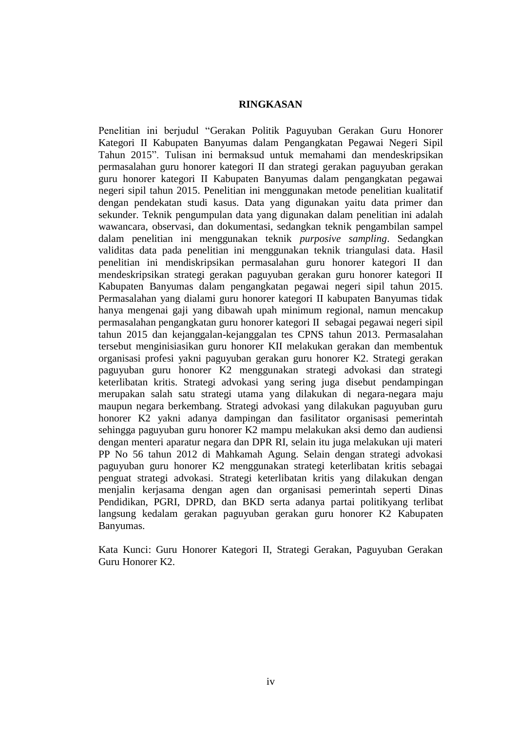## **RINGKASAN**

Penelitian ini berjudul "Gerakan Politik Paguyuban Gerakan Guru Honorer Kategori II Kabupaten Banyumas dalam Pengangkatan Pegawai Negeri Sipil Tahun 2015". Tulisan ini bermaksud untuk memahami dan mendeskripsikan permasalahan guru honorer kategori II dan strategi gerakan paguyuban gerakan guru honorer kategori II Kabupaten Banyumas dalam pengangkatan pegawai negeri sipil tahun 2015. Penelitian ini menggunakan metode penelitian kualitatif dengan pendekatan studi kasus. Data yang digunakan yaitu data primer dan sekunder. Teknik pengumpulan data yang digunakan dalam penelitian ini adalah wawancara, observasi, dan dokumentasi, sedangkan teknik pengambilan sampel dalam penelitian ini menggunakan teknik *purposive sampling*. Sedangkan validitas data pada penelitian ini menggunakan teknik triangulasi data. Hasil penelitian ini mendiskripsikan permasalahan guru honorer kategori II dan mendeskripsikan strategi gerakan paguyuban gerakan guru honorer kategori II Kabupaten Banyumas dalam pengangkatan pegawai negeri sipil tahun 2015. Permasalahan yang dialami guru honorer kategori II kabupaten Banyumas tidak hanya mengenai gaji yang dibawah upah minimum regional, namun mencakup permasalahan pengangkatan guru honorer kategori II sebagai pegawai negeri sipil tahun 2015 dan kejanggalan-kejanggalan tes CPNS tahun 2013. Permasalahan tersebut menginisiasikan guru honorer KII melakukan gerakan dan membentuk organisasi profesi yakni paguyuban gerakan guru honorer K2. Strategi gerakan paguyuban guru honorer K2 menggunakan strategi advokasi dan strategi keterlibatan kritis. Strategi advokasi yang sering juga disebut pendampingan merupakan salah satu strategi utama yang dilakukan di negara-negara maju maupun negara berkembang. Strategi advokasi yang dilakukan paguyuban guru honorer K2 yakni adanya dampingan dan fasilitator organisasi pemerintah sehingga paguyuban guru honorer K2 mampu melakukan aksi demo dan audiensi dengan menteri aparatur negara dan DPR RI, selain itu juga melakukan uji materi PP No 56 tahun 2012 di Mahkamah Agung. Selain dengan strategi advokasi paguyuban guru honorer K2 menggunakan strategi keterlibatan kritis sebagai penguat strategi advokasi. Strategi keterlibatan kritis yang dilakukan dengan menjalin kerjasama dengan agen dan organisasi pemerintah seperti Dinas Pendidikan, PGRI, DPRD, dan BKD serta adanya partai politikyang terlibat langsung kedalam gerakan paguyuban gerakan guru honorer K2 Kabupaten Banyumas.

Kata Kunci: Guru Honorer Kategori II, Strategi Gerakan, Paguyuban Gerakan Guru Honorer K2.